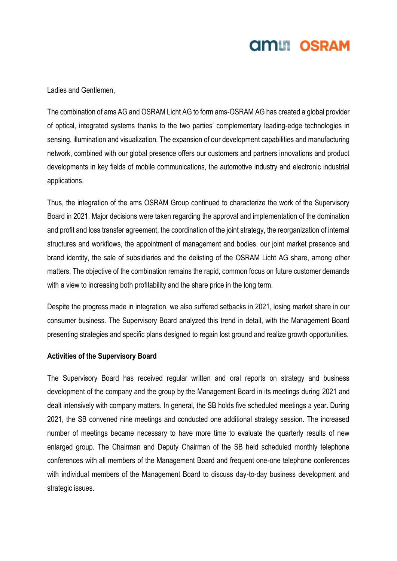Ladies and Gentlemen,

The combination of ams AG and OSRAM Licht AG to form ams-OSRAM AG has created a global provider of optical, integrated systems thanks to the two parties' complementary leading-edge technologies in sensing, illumination and visualization. The expansion of our development capabilities and manufacturing network, combined with our global presence offers our customers and partners innovations and product developments in key fields of mobile communications, the automotive industry and electronic industrial applications.

Thus, the integration of the ams OSRAM Group continued to characterize the work of the Supervisory Board in 2021. Major decisions were taken regarding the approval and implementation of the domination and profit and loss transfer agreement, the coordination of the joint strategy, the reorganization of internal structures and workflows, the appointment of management and bodies, our joint market presence and brand identity, the sale of subsidiaries and the delisting of the OSRAM Licht AG share, among other matters. The objective of the combination remains the rapid, common focus on future customer demands with a view to increasing both profitability and the share price in the long term.

Despite the progress made in integration, we also suffered setbacks in 2021, losing market share in our consumer business. The Supervisory Board analyzed this trend in detail, with the Management Board presenting strategies and specific plans designed to regain lost ground and realize growth opportunities.

#### **Activities of the Supervisory Board**

The Supervisory Board has received regular written and oral reports on strategy and business development of the company and the group by the Management Board in its meetings during 2021 and dealt intensively with company matters. In general, the SB holds five scheduled meetings a year. During 2021, the SB convened nine meetings and conducted one additional strategy session. The increased number of meetings became necessary to have more time to evaluate the quarterly results of new enlarged group. The Chairman and Deputy Chairman of the SB held scheduled monthly telephone conferences with all members of the Management Board and frequent one-one telephone conferences with individual members of the Management Board to discuss day-to-day business development and strategic issues.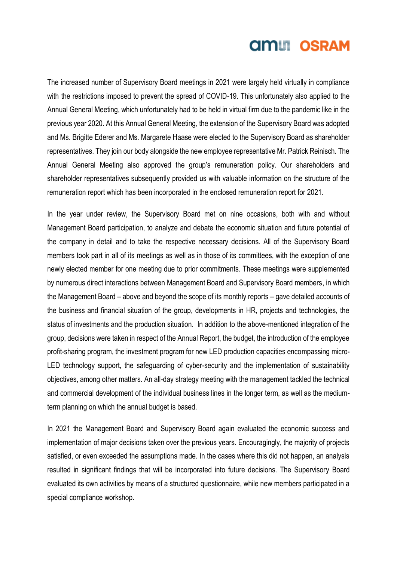The increased number of Supervisory Board meetings in 2021 were largely held virtually in compliance with the restrictions imposed to prevent the spread of COVID-19. This unfortunately also applied to the Annual General Meeting, which unfortunately had to be held in virtual firm due to the pandemic like in the previous year 2020. At this Annual General Meeting, the extension of the Supervisory Board was adopted and Ms. Brigitte Ederer and Ms. Margarete Haase were elected to the Supervisory Board as shareholder representatives. They join our body alongside the new employee representative Mr. Patrick Reinisch. The Annual General Meeting also approved the group's remuneration policy. Our shareholders and shareholder representatives subsequently provided us with valuable information on the structure of the remuneration report which has been incorporated in the enclosed remuneration report for 2021.

In the year under review, the Supervisory Board met on nine occasions, both with and without Management Board participation, to analyze and debate the economic situation and future potential of the company in detail and to take the respective necessary decisions. All of the Supervisory Board members took part in all of its meetings as well as in those of its committees, with the exception of one newly elected member for one meeting due to prior commitments. These meetings were supplemented by numerous direct interactions between Management Board and Supervisory Board members, in which the Management Board – above and beyond the scope of its monthly reports – gave detailed accounts of the business and financial situation of the group, developments in HR, projects and technologies, the status of investments and the production situation. In addition to the above-mentioned integration of the group, decisions were taken in respect of the Annual Report, the budget, the introduction of the employee profit-sharing program, the investment program for new LED production capacities encompassing micro-LED technology support, the safeguarding of cyber-security and the implementation of sustainability objectives, among other matters. An all-day strategy meeting with the management tackled the technical and commercial development of the individual business lines in the longer term, as well as the mediumterm planning on which the annual budget is based.

In 2021 the Management Board and Supervisory Board again evaluated the economic success and implementation of major decisions taken over the previous years. Encouragingly, the majority of projects satisfied, or even exceeded the assumptions made. In the cases where this did not happen, an analysis resulted in significant findings that will be incorporated into future decisions. The Supervisory Board evaluated its own activities by means of a structured questionnaire, while new members participated in a special compliance workshop.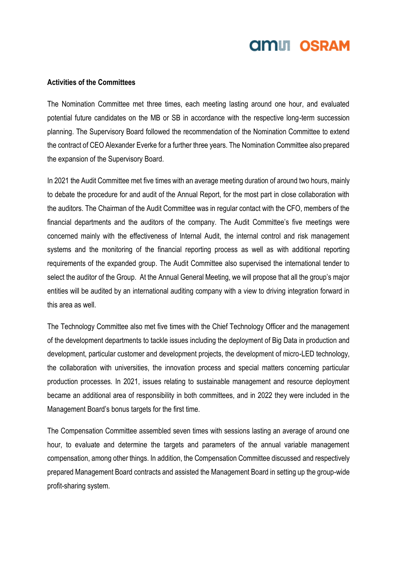#### **Activities of the Committees**

The Nomination Committee met three times, each meeting lasting around one hour, and evaluated potential future candidates on the MB or SB in accordance with the respective long-term succession planning. The Supervisory Board followed the recommendation of the Nomination Committee to extend the contract of CEO Alexander Everke for a further three years. The Nomination Committee also prepared the expansion of the Supervisory Board.

In 2021 the Audit Committee met five times with an average meeting duration of around two hours, mainly to debate the procedure for and audit of the Annual Report, for the most part in close collaboration with the auditors. The Chairman of the Audit Committee was in regular contact with the CFO, members of the financial departments and the auditors of the company. The Audit Committee's five meetings were concerned mainly with the effectiveness of Internal Audit, the internal control and risk management systems and the monitoring of the financial reporting process as well as with additional reporting requirements of the expanded group. The Audit Committee also supervised the international tender to select the auditor of the Group. At the Annual General Meeting, we will propose that all the group's major entities will be audited by an international auditing company with a view to driving integration forward in this area as well.

The Technology Committee also met five times with the Chief Technology Officer and the management of the development departments to tackle issues including the deployment of Big Data in production and development, particular customer and development projects, the development of micro-LED technology, the collaboration with universities, the innovation process and special matters concerning particular production processes. In 2021, issues relating to sustainable management and resource deployment became an additional area of responsibility in both committees, and in 2022 they were included in the Management Board's bonus targets for the first time.

The Compensation Committee assembled seven times with sessions lasting an average of around one hour, to evaluate and determine the targets and parameters of the annual variable management compensation, among other things. In addition, the Compensation Committee discussed and respectively prepared Management Board contracts and assisted the Management Board in setting up the group-wide profit-sharing system.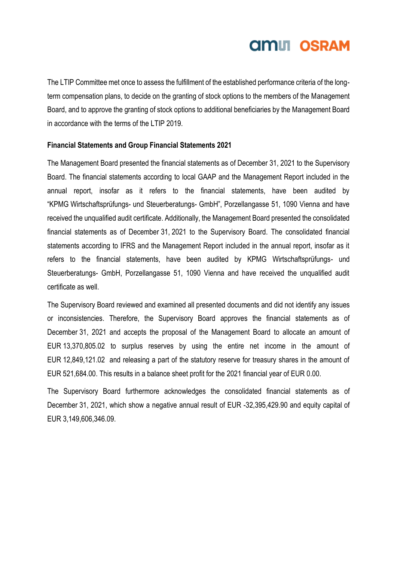### **amul OSRAM**

The LTIP Committee met once to assess the fulfillment of the established performance criteria of the longterm compensation plans, to decide on the granting of stock options to the members of the Management Board, and to approve the granting of stock options to additional beneficiaries by the Management Board in accordance with the terms of the LTIP 2019.

#### **Financial Statements and Group Financial Statements 2021**

The Management Board presented the financial statements as of December 31, 2021 to the Supervisory Board. The financial statements according to local GAAP and the Management Report included in the annual report, insofar as it refers to the financial statements, have been audited by "KPMG Wirtschaftsprüfungs- und Steuerberatungs- GmbH", Porzellangasse 51, 1090 Vienna and have received the unqualified audit certificate. Additionally, the Management Board presented the consolidated financial statements as of December 31, 2021 to the Supervisory Board. The consolidated financial statements according to IFRS and the Management Report included in the annual report, insofar as it refers to the financial statements, have been audited by KPMG Wirtschaftsprüfungs- und Steuerberatungs- GmbH, Porzellangasse 51, 1090 Vienna and have received the unqualified audit certificate as well.

The Supervisory Board reviewed and examined all presented documents and did not identify any issues or inconsistencies. Therefore, the Supervisory Board approves the financial statements as of December 31, 2021 and accepts the proposal of the Management Board to allocate an amount of EUR 13,370,805.02 to surplus reserves by using the entire net income in the amount of EUR 12,849,121.02 and releasing a part of the statutory reserve for treasury shares in the amount of EUR 521,684.00. This results in a balance sheet profit for the 2021 financial year of EUR 0.00.

The Supervisory Board furthermore acknowledges the consolidated financial statements as of December 31, 2021, which show a negative annual result of EUR -32,395,429,90 and equity capital of EUR 3,149,606,346.09.